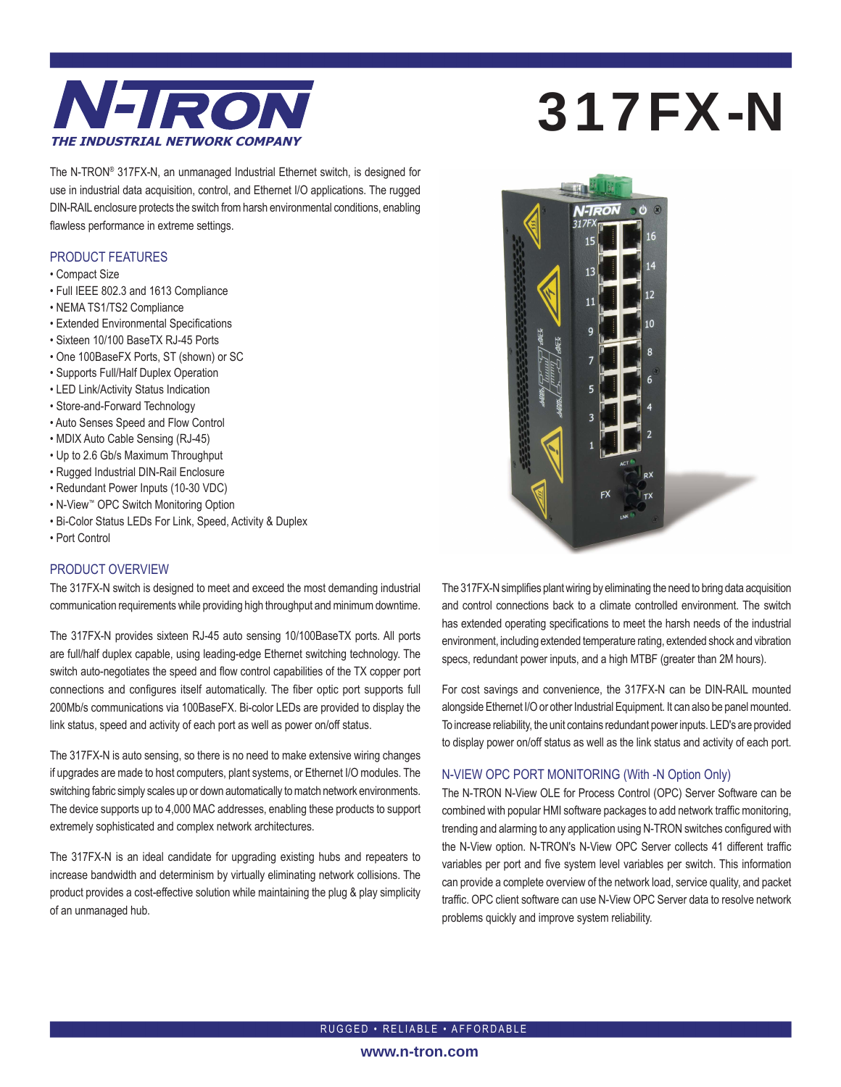

The N-TRON® 317FX-N, an unmanaged Industrial Ethernet switch, is designed for use in industrial data acquisition, control, and Ethernet I/O applications. The rugged DIN-RAIL enclosure protects the switch from harsh environmental conditions, enabling flawless performance in extreme settings.

#### PRODUCT FEATURES

- Compact Size
- Full IEEE 802.3 and 1613 Compliance
- NEMA TS1/TS2 Compliance
- Extended Environmental Specifications
- Sixteen 10/100 BaseTX RJ-45 Ports
- One 100BaseFX Ports, ST (shown) or SC
- Supports Full/Half Duplex Operation
- LED Link/Activity Status Indication
- Store-and-Forward Technology
- Auto Senses Speed and Flow Control
- MDIX Auto Cable Sensing (RJ-45)
- Up to 2.6 Gb/s Maximum Throughput
- Rugged Industrial DIN-Rail Enclosure
- Redundant Power Inputs (10-30 VDC)
- N-View™ OPC Switch Monitoring Option
- Bi-Color Status LEDs For Link, Speed, Activity & Duplex
- Port Control

#### PRODUCT OVERVIEW

The 317FX-N switch is designed to meet and exceed the most demanding industrial communication requirements while providing high throughput and minimum downtime.

The 317FX-N provides sixteen RJ-45 auto sensing 10/100BaseTX ports. All ports are full/half duplex capable, using leading-edge Ethernet switching technology. The switch auto-negotiates the speed and flow control capabilities of the TX copper port connections and configures itself automatically. The fiber optic port supports full 200Mb/s communications via 100BaseFX. Bi-color LEDs are provided to display the link status, speed and activity of each port as well as power on/off status.

The 317FX-N is auto sensing, so there is no need to make extensive wiring changes if upgrades are made to host computers, plant systems, or Ethernet I/O modules. The switching fabric simply scales up or down automatically to match network environments. The device supports up to 4,000 MAC addresses, enabling these products to support extremely sophisticated and complex network architectures.

The 317FX-N is an ideal candidate for upgrading existing hubs and repeaters to increase bandwidth and determinism by virtually eliminating network collisions. The product provides a cost-effective solution while maintaining the plug & play simplicity of an unmanaged hub.

# 317FX-N



The 317FX-N simplifies plant wiring by eliminating the need to bring data acquisition and control connections back to a climate controlled environment. The switch has extended operating specifications to meet the harsh needs of the industrial environment, including extended temperature rating, extended shock and vibration specs, redundant power inputs, and a high MTBF (greater than 2M hours).

For cost savings and convenience, the 317FX-N can be DIN-RAIL mounted alongside Ethernet I/O or other Industrial Equipment. It can also be panel mounted. To increase reliability, the unit contains redundant power inputs. LED's are provided to display power on/off status as well as the link status and activity of each port.

#### N-VIEW OPC PORT MONITORING (With -N Option Only)

The N-TRON N-View OLE for Process Control (OPC) Server Software can be combined with popular HMI software packages to add network traffic monitoring, trending and alarming to any application using N-TRON switches configured with the N-View option. N-TRON's N-View OPC Server collects 41 different traffic variables per port and five system level variables per switch. This information can provide a complete overview of the network load, service quality, and packet traffic. OPC client software can use N-View OPC Server data to resolve network problems quickly and improve system reliability.

RUGGED • RELIABLE • AFFORDABLE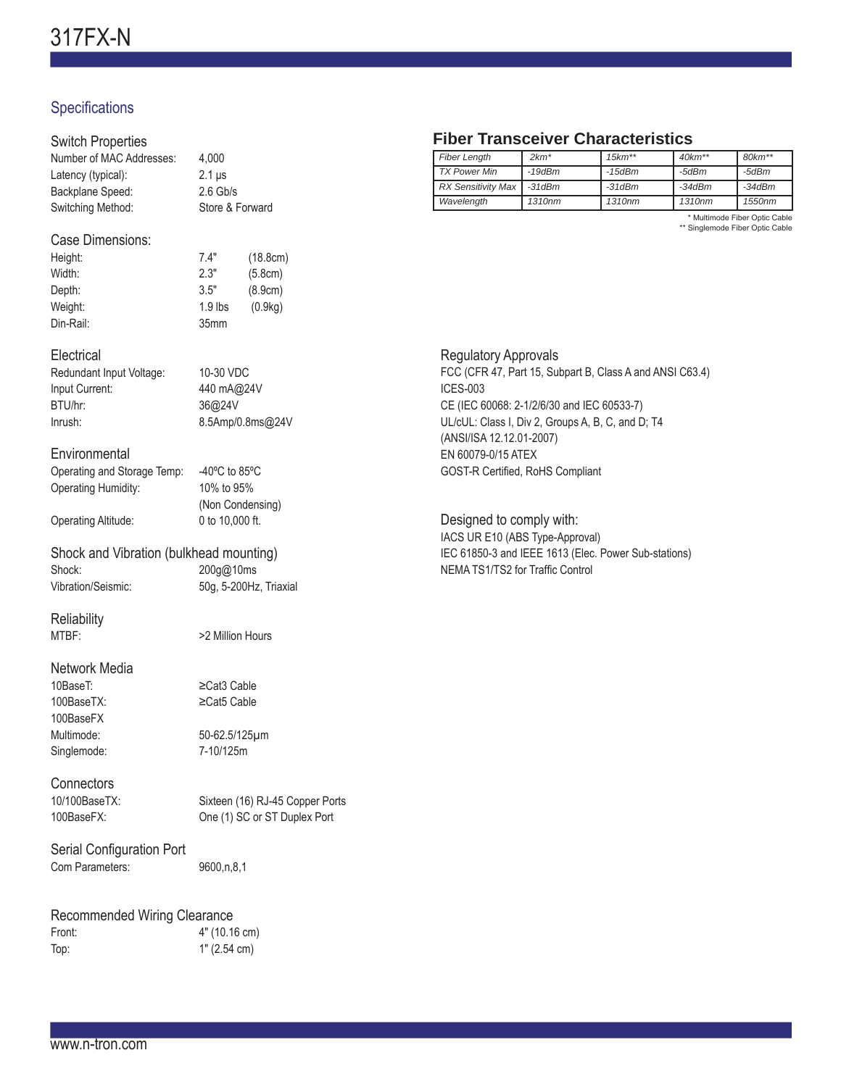# Specifications

### Switch Properties

| Number of MAC Addresses: | 4.000           |
|--------------------------|-----------------|
| Latency (typical):       | $2.1 \,\mu s$   |
| Backplane Speed:         | $2.6$ Gb/s      |
| Switching Method:        | Store & Forward |

#### Case Dimensions:

| 7.4"<br>Height: |           | (18.8cm) |
|-----------------|-----------|----------|
| Width:          | 2.3"      | (5.8cm)  |
| Depth:          | 3.5"      | (8.9cm)  |
| Weight:         | $1.9$ lbs | (0.9kg)  |
| Din-Rail:       | 35mm      |          |

#### **Electrical**

Redundant Input Voltage: 10-30 VDC Input Current: 440 mA@24V BTU/hr: 36@24V Inrush: 8.5Amp/0.8ms@24V

# **Environmental**

Operating and Storage Temp: -40ºC to 85ºC Operating Humidity: 10% to 95%

Operating Altitude: 0 to 10,000 ft.

Shock and Vibration (bulkhead mounting) Shock: 200g@10ms Vibration/Seismic: 50g, 5-200Hz, Triaxial

**Reliability** 

MTBF:  $>2$  Million Hours

(Non Condensing)

## Network Media

10BaseT: ≥Cat3 Cable 100BaseTX: ≥Cat5 Cable 100BaseFX Singlemode: 7-10/125m

Multimode: 50-62.5/125μm

# **Connectors**

10/100BaseTX: Sixteen (16) RJ-45 Copper Ports 100BaseFX: One (1) SC or ST Duplex Port

#### Serial Configuration Port Com Parameters: 9600,n,8,1

# Recommended Wiring Clearance

| Front: | 4" (10.16 cm) |
|--------|---------------|
| Top:   | 1" (2.54 cm)  |

# **Fiber Transceiver Characteristics**

| <b>Fiber Length</b>       | $2km*$       | $15km**$           | $40km**$           | $80 km**$ |
|---------------------------|--------------|--------------------|--------------------|-----------|
| <b>TX Power Min</b>       | $-19$ d $Bm$ | $-15$ d $Bm$       | -5dBm              | -5dBm     |
| <b>RX Sensitivity Max</b> | $-31dBm$     | $-31dBm$           | $-34dBm$           | $-34dBm$  |
| Wavelength                | 1310nm       | 1310 <sub>nm</sub> | 1310 <sub>nm</sub> | 1550nm    |

\* Multimode Fiber Optic Cable \*\* Singlemode Fiber Optic Cable

Regulatory Approvals FCC (CFR 47, Part 15, Subpart B, Class A and ANSI C63.4) ICES-003 CE (IEC 60068: 2-1/2/6/30 and IEC 60533-7) UL/cUL: Class I, Div 2, Groups A, B, C, and D; T4 (ANSI/ISA 12.12.01-2007) EN 60079-0/15 ATEX GOST-R Certified, RoHS Compliant

Designed to comply with: IACS UR E10 (ABS Type-Approval) IEC 61850-3 and IEEE 1613 (Elec. Power Sub-stations) NEMA TS1/TS2 for Traffic Control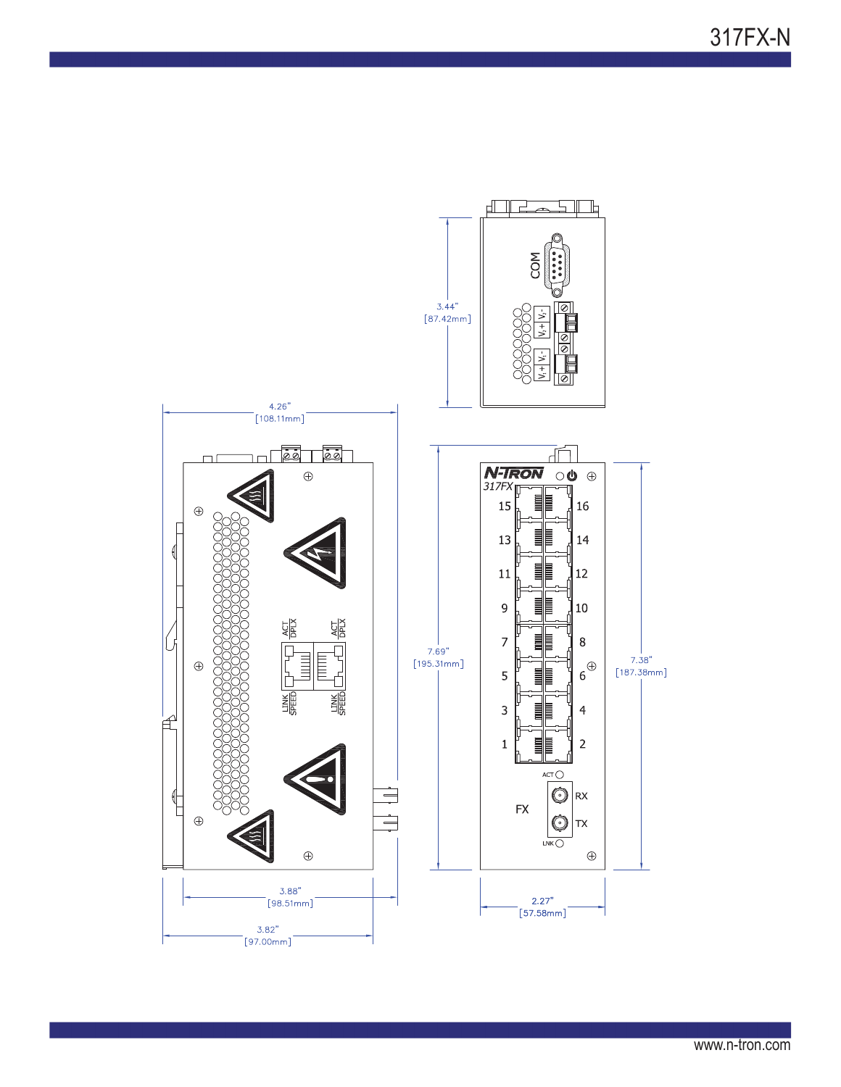